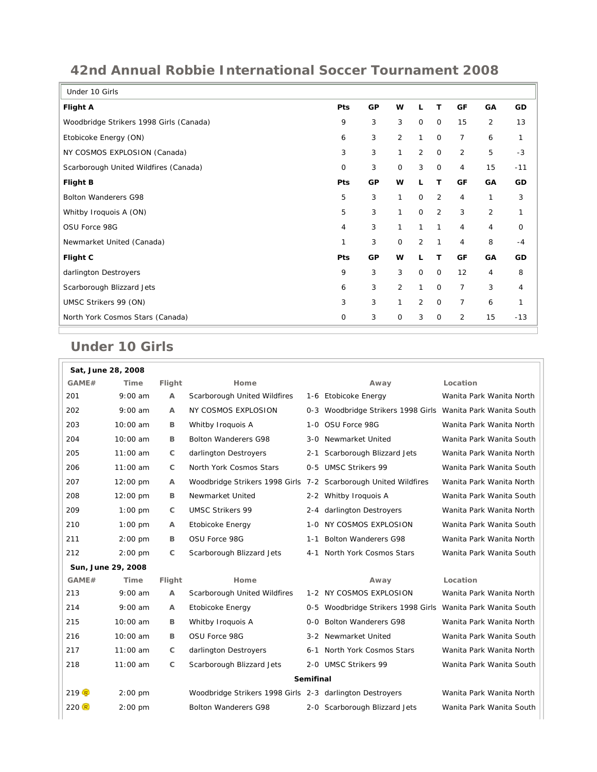## **42nd Annual Robbie International Soccer Tournament 2008**

| Under 10 Girls                          |             |    |                |                |                |                |                |              |
|-----------------------------------------|-------------|----|----------------|----------------|----------------|----------------|----------------|--------------|
| <b>Flight A</b>                         | <b>Pts</b>  | GP | w              | L              | т              | GF             | GA             | GD           |
| Woodbridge Strikers 1998 Girls (Canada) | 9           | 3  | 3              | $\mathbf 0$    | $\mathbf 0$    | 15             | 2              | 13           |
| Etobicoke Energy (ON)                   | 6           | 3  | $\overline{2}$ | $\mathbf{1}$   | $\mathbf 0$    | $\overline{7}$ | 6              | $\mathbf{1}$ |
| NY COSMOS EXPLOSION (Canada)            | 3           | 3  | 1              | 2              | $\mathbf 0$    | 2              | 5              | $-3$         |
| Scarborough United Wildfires (Canada)   | $\mathbf 0$ | 3  | $\mathbf 0$    | 3              | $\mathbf 0$    | 4              | 15             | $-11$        |
| <b>Flight B</b>                         | Pts         | GP | w              | L              | т              | GF             | GA             | GD           |
| Bolton Wanderers G98                    | 5           | 3  | 1              | $\mathbf 0$    | $\overline{2}$ | 4              | 1              | 3            |
| Whitby Iroquois A (ON)                  | 5           | 3  | $\mathbf{1}$   | $\Omega$       | 2              | 3              | $\overline{2}$ | 1            |
| OSU Force 98G                           | 4           | 3  | 1              | 1              | $\mathbf{1}$   | 4              | 4              | 0            |
| Newmarket United (Canada)               | 1           | 3  | $\mathbf 0$    | 2              | $\mathbf{1}$   | 4              | 8              | $-4$         |
| Flight C                                | Pts         | GP | W              | L              | т              | GF             | GA             | GD           |
| darlington Destroyers                   | 9           | 3  | 3              | $\mathsf O$    | $\mathbf 0$    | 12             | 4              | 8            |
| Scarborough Blizzard Jets               | 6           | 3  | $\overline{2}$ | 1              | $\mathbf 0$    | $\overline{7}$ | 3              | 4            |
| UMSC Strikers 99 (ON)                   | 3           | 3  | 1              | $\overline{2}$ | $\mathbf 0$    | $\overline{7}$ | 6              | 1            |
| North York Cosmos Stars (Canada)        | $\mathbf 0$ | 3  | $\mathbf 0$    | 3              | $\mathbf 0$    | 2              | 15             | $-13$        |

## **Under 10 Girls**

| Sat, June 28, 2008 |                    |              |                                                                 |                   |                                                         |                          |  |  |
|--------------------|--------------------|--------------|-----------------------------------------------------------------|-------------------|---------------------------------------------------------|--------------------------|--|--|
| GAME#              | Time               | Flight       | Home                                                            |                   | Away                                                    | Location                 |  |  |
| 201                | $9:00$ am          | $\mathsf{A}$ | Scarborough United Wildfires                                    |                   | 1-6 Etobicoke Energy                                    | Wanita Park Wanita North |  |  |
| 202                | $9:00$ am          | A            | NY COSMOS EXPLOSION                                             | 0-3               | Woodbridge Strikers 1998 Girls Wanita Park Wanita South |                          |  |  |
| 203                | 10:00 am           | в            | Whitby Iroquois A                                               | 1-0 OSU Force 98G |                                                         | Wanita Park Wanita North |  |  |
| 204                | 10:00 am           | B            | <b>Bolton Wanderers G98</b>                                     |                   | 3-0 Newmarket United                                    | Wanita Park Wanita South |  |  |
| 205                | $11:00$ am         | C            | darlington Destroyers                                           | 2-1               | Scarborough Blizzard Jets                               | Wanita Park Wanita North |  |  |
| 206                | $11:00$ am         | C            | North York Cosmos Stars                                         |                   | 0-5 UMSC Strikers 99                                    | Wanita Park Wanita South |  |  |
| 207                | $12:00 \text{ pm}$ | A            | Woodbridge Strikers 1998 Girls 7-2 Scarborough United Wildfires |                   |                                                         | Wanita Park Wanita North |  |  |
| 208                | 12:00 pm           | в            | Newmarket United                                                |                   | 2-2 Whitby Iroquois A                                   | Wanita Park Wanita South |  |  |
| 209                | $1:00$ pm          | C            | <b>UMSC Strikers 99</b>                                         | 2-4               | darlington Destroyers                                   | Wanita Park Wanita North |  |  |
| 210                | $1:00$ pm          | A            | Etobicoke Energy                                                | 1-0               | NY COSMOS EXPLOSION                                     | Wanita Park Wanita South |  |  |
| 211                | $2:00$ pm          | B            | OSU Force 98G                                                   | $1 - 1$           | <b>Bolton Wanderers G98</b>                             | Wanita Park Wanita North |  |  |
| 212                | $2:00$ pm          | C            | Scarborough Blizzard Jets                                       | $4 - 1$           | North York Cosmos Stars                                 | Wanita Park Wanita South |  |  |
|                    | Sun, June 29, 2008 |              |                                                                 |                   |                                                         |                          |  |  |
| GAME#              | Time               | Flight       | Home                                                            |                   | Away                                                    | Location                 |  |  |
| 213                | $9:00$ am          | A            | Scarborough United Wildfires                                    |                   | 1-2 NY COSMOS EXPLOSION                                 | Wanita Park Wanita North |  |  |
| 214                | $9:00$ am          | A            | Etobicoke Energy                                                | $0 - 5$           | Woodbridge Strikers 1998 Girls Wanita Park Wanita South |                          |  |  |
| 215                | $10:00$ am         | в            | Whitby Iroquois A                                               |                   | 0-0 Bolton Wanderers G98                                | Wanita Park Wanita North |  |  |
| 216                | 10:00 am           | в            | OSU Force 98G                                                   |                   | 3-2 Newmarket United                                    | Wanita Park Wanita South |  |  |
| 217                | $11:00$ am         | C            | darlington Destroyers                                           | $6 - 1$           | North York Cosmos Stars                                 | Wanita Park Wanita North |  |  |
| 218                | 11:00 am           | C            | Scarborough Blizzard Jets                                       |                   | 2-0 UMSC Strikers 99                                    | Wanita Park Wanita South |  |  |
| <b>Semifinal</b>   |                    |              |                                                                 |                   |                                                         |                          |  |  |
| 219 R              | $2:00$ pm          |              | Woodbridge Strikers 1998 Girls 2-3 darlington Destroyers        |                   |                                                         | Wanita Park Wanita North |  |  |
| 220 R              | $2:00$ pm          |              | <b>Bolton Wanderers G98</b>                                     |                   | 2-0 Scarborough Blizzard Jets                           | Wanita Park Wanita South |  |  |